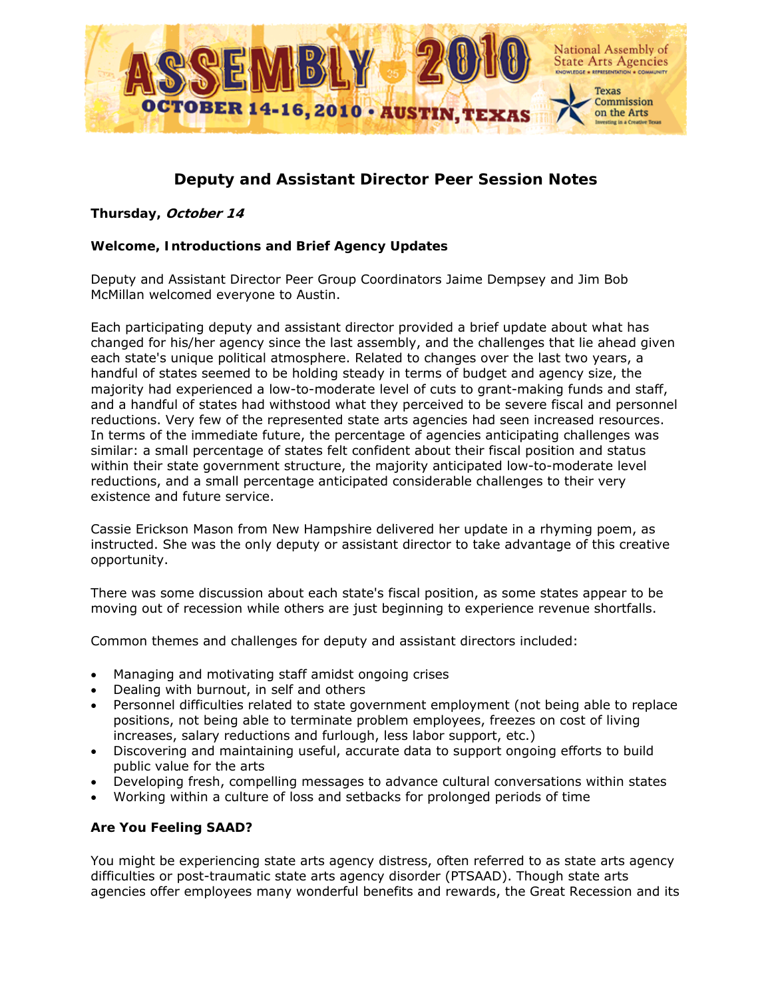

# **Deputy and Assistant Director Peer Session Notes**

## *Thursday,* **October 14**

# **Welcome, Introductions and Brief Agency Updates**

Deputy and Assistant Director Peer Group Coordinators Jaime Dempsey and Jim Bob McMillan welcomed everyone to Austin.

Each participating deputy and assistant director provided a brief update about what has changed for his/her agency since the last assembly, and the challenges that lie ahead given each state's unique political atmosphere. Related to changes over the last two years, a handful of states seemed to be holding steady in terms of budget and agency size, the majority had experienced a low-to-moderate level of cuts to grant-making funds and staff, and a handful of states had withstood what they perceived to be severe fiscal and personnel reductions. Very few of the represented state arts agencies had seen increased resources. In terms of the immediate future, the percentage of agencies anticipating challenges was similar: a small percentage of states felt confident about their fiscal position and status within their state government structure, the majority anticipated low-to-moderate level reductions, and a small percentage anticipated considerable challenges to their very existence and future service.

Cassie Erickson Mason from New Hampshire delivered her update in a rhyming poem, as instructed. She was the only deputy or assistant director to take advantage of this creative opportunity.

There was some discussion about each state's fiscal position, as some states appear to be moving out of recession while others are just beginning to experience revenue shortfalls.

Common themes and challenges for deputy and assistant directors included:

- Managing and motivating staff amidst ongoing crises
- Dealing with burnout, in self and others
- Personnel difficulties related to state government employment (not being able to replace positions, not being able to terminate problem employees, freezes on cost of living increases, salary reductions and furlough, less labor support, etc.)
- Discovering and maintaining useful, accurate data to support ongoing efforts to build public value for the arts
- Developing fresh, compelling messages to advance cultural conversations within states
- Working within a culture of loss and setbacks for prolonged periods of time

## **Are You Feeling SAAD?**

You might be experiencing state arts agency distress, often referred to as state arts agency difficulties or post-traumatic state arts agency disorder (PTSAAD). Though state arts agencies offer employees many wonderful benefits and rewards, the Great Recession and its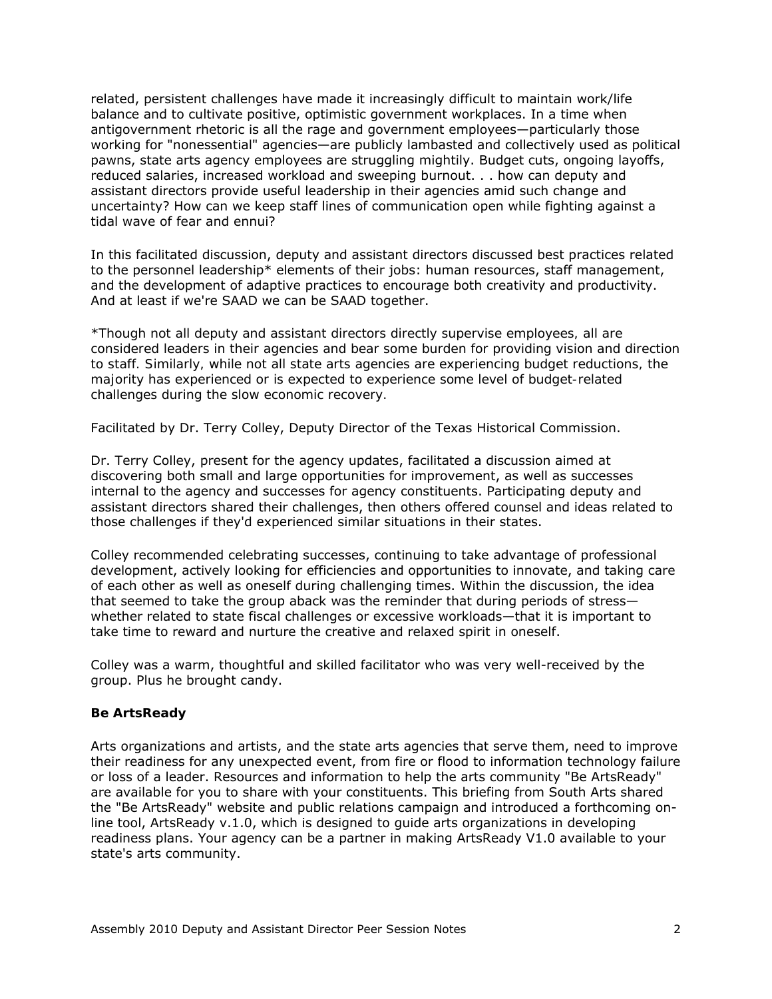related, persistent challenges have made it increasingly difficult to maintain work/life balance and to cultivate positive, optimistic government workplaces. In a time when antigovernment rhetoric is all the rage and government employees—particularly those working for "nonessential" agencies—are publicly lambasted and collectively used as political pawns, state arts agency employees are struggling mightily. Budget cuts, ongoing layoffs, reduced salaries, increased workload and sweeping burnout. . . how can deputy and assistant directors provide useful leadership in their agencies amid such change and uncertainty? How can we keep staff lines of communication open while fighting against a tidal wave of fear and ennui?

In this facilitated discussion, deputy and assistant directors discussed best practices related to the personnel leadership\* elements of their jobs: human resources, staff management, and the development of adaptive practices to encourage both creativity and productivity. And at least if we're SAAD we can be SAAD together.

\**Though not all deputy and assistant directors directly supervise employees, all are considered leaders in their agencies and bear some burden for providing vision and direction to staff. Similarly, while not all state arts agencies are experiencing budget reductions, the majority has experienced or is expected to experience some level of budget-related challenges during the slow economic recovery.* 

Facilitated by Dr. Terry Colley, Deputy Director of the Texas Historical Commission.

Dr. Terry Colley, present for the agency updates, facilitated a discussion aimed at discovering both small and large opportunities for improvement, as well as successes internal to the agency and successes for agency constituents. Participating deputy and assistant directors shared their challenges, then others offered counsel and ideas related to those challenges if they'd experienced similar situations in their states.

Colley recommended celebrating successes, continuing to take advantage of professional development, actively looking for efficiencies and opportunities to innovate, and taking care of each other as well as oneself during challenging times. Within the discussion, the idea that seemed to take the group aback was the reminder that during periods of stress whether related to state fiscal challenges or excessive workloads—that it is important to take time to reward and nurture the creative and relaxed spirit in oneself.

Colley was a warm, thoughtful and skilled facilitator who was very well-received by the group. Plus he brought candy.

#### **Be ArtsReady**

Arts organizations and artists, and the state arts agencies that serve them, need to improve their readiness for any unexpected event, from fire or flood to information technology failure or loss of a leader. Resources and information to help the arts community "Be ArtsReady" are available for you to share with your constituents. This briefing from South Arts shared the "Be ArtsReady" website and public relations campaign and introduced a forthcoming online tool, ArtsReady v.1.0, which is designed to guide arts organizations in developing readiness plans. Your agency can be a partner in making ArtsReady V1.0 available to your state's arts community.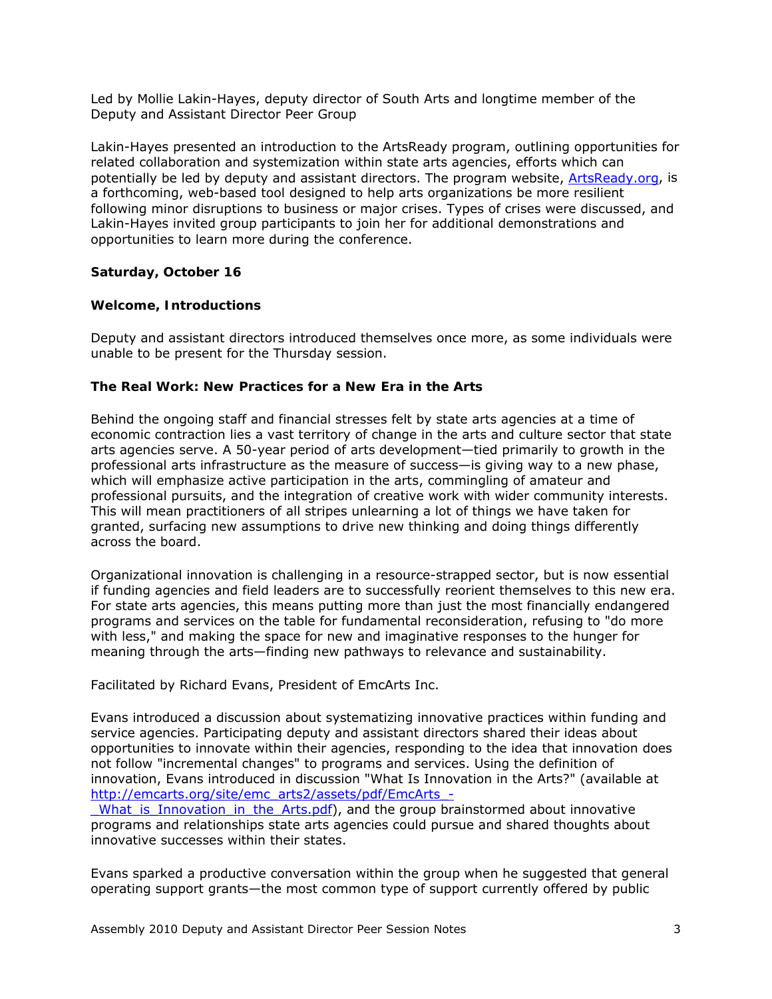Led by Mollie Lakin-Hayes, deputy director of South Arts and longtime member of the Deputy and Assistant Director Peer Group

Lakin-Hayes presented an introduction to the ArtsReady program, outlining opportunities for related collaboration and systemization within state arts agencies, efforts which can potentially be led by deputy and assistant directors. The program website, [ArtsReady.org,](http://www.artsready.org/) is a forthcoming, web-based tool designed to help arts organizations be more resilient following minor disruptions to business or major crises. Types of crises were discussed, and Lakin-Hayes invited group participants to join her for additional demonstrations and opportunities to learn more during the conference.

## *Saturday, October 16*

#### **Welcome, Introductions**

Deputy and assistant directors introduced themselves once more, as some individuals were unable to be present for the Thursday session.

#### **The Real Work: New Practices for a New Era in the Arts**

Behind the ongoing staff and financial stresses felt by state arts agencies at a time of economic contraction lies a vast territory of change in the arts and culture sector that state arts agencies serve. A 50-year period of arts development—tied primarily to growth in the professional arts infrastructure as the measure of success—is giving way to a new phase, which will emphasize active participation in the arts, commingling of amateur and professional pursuits, and the integration of creative work with wider community interests. This will mean practitioners of all stripes unlearning a lot of things we have taken for granted, surfacing new assumptions to drive new thinking and doing things differently across the board.

Organizational innovation is challenging in a resource-strapped sector, but is now essential if funding agencies and field leaders are to successfully reorient themselves to this new era. For state arts agencies, this means putting more than just the most financially endangered programs and services on the table for fundamental reconsideration, refusing to "do more with less," and making the space for new and imaginative responses to the hunger for meaning through the arts—finding new pathways to relevance and sustainability.

Facilitated by Richard Evans, President of EmcArts Inc.

Evans introduced a discussion about systematizing innovative practices within funding and service agencies. Participating deputy and assistant directors shared their ideas about opportunities to innovate within their agencies, responding to the idea that innovation does not follow "incremental changes" to programs and services. Using the definition of innovation, Evans introduced in discussion "What Is Innovation in the Arts?" (available at [http://emcarts.org/site/emc\\_arts2/assets/pdf/EmcArts\\_-](http://emcarts.org/site/emc_arts2/assets/pdf/EmcArts_-_What_is_Innovation_in_the_Arts.pdf)

[\\_What\\_is\\_Innovation\\_in\\_the\\_Arts.pdf\)](http://emcarts.org/site/emc_arts2/assets/pdf/EmcArts_-_What_is_Innovation_in_the_Arts.pdf), and the group brainstormed about innovative programs and relationships state arts agencies could pursue and shared thoughts about innovative successes within their states.

Evans sparked a productive conversation within the group when he suggested that general operating support grants—the most common type of support currently offered by public